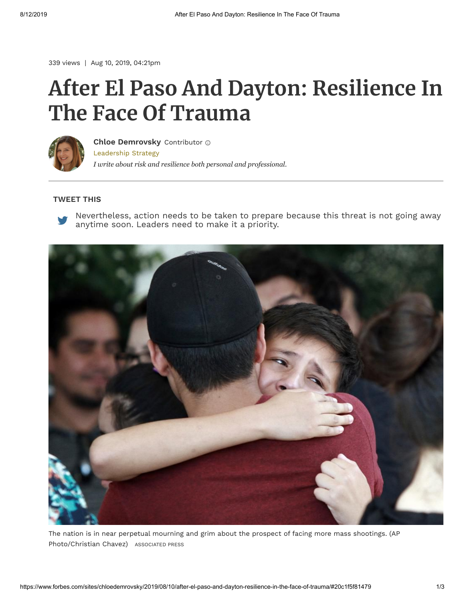339 views | Aug 10, 2019, 04:21pm

## **After El Paso And Dayton: Resilience In The Face Of Trauma**



[Leadership Strategy](https://www.forbes.com/leadership-strategy) *I write about risk and resilience both personal and professional.* **[Chloe Demrovsky](https://www.forbes.com/sites/chloedemrovsky/)** Contributor

## **TWEET THIS**



[Nevertheless, action needs to be taken to prepare because this threat is not going away](https://twitter.com/intent/tweet?url=http%3A%2F%2Fwww.forbes.com%2Fsites%2Fchloedemrovsky%2F2019%2F08%2F10%2Fafter-el-paso-and-dayton-resilience-in-the-face-of-trauma%2F&text=Action%20needs%20to%20be%20taken%20to%20prepare%20because%20this%20threat%20is%20not%20going%20away.%20Leaders%20need%20to%20make%20it%20a%20priority.) anytime soon. Leaders need to make it a priority.



Photo/Christian Chavez) Associated Press The nation is in near perpetual mourning and grim about the prospect of facing more mass shootings. (AP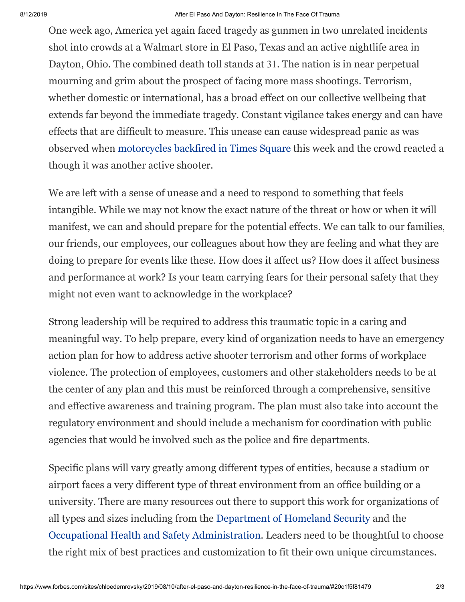## 8/12/2019 After El Paso And Dayton: Resilience In The Face Of Trauma

One week ago, America yet again faced tragedy as gunmen in two unrelated incidents shot into crowds at a Walmart store in El Paso, Texas and an active nightlife area in Dayton, Ohio. The combined death toll stands at 31. The nation is in near perpetual mourning and grim about the prospect of facing more mass shootings. Terrorism, whether domestic or international, has a broad effect on our collective wellbeing that extends far beyond the immediate tragedy. Constant vigilance takes energy and can have effects that are difficult to measure. This unease can cause widespread panic as was observed when [motorcycles backfired in Times Square](https://www.cnn.com/2019/08/07/us/times-square-gunshot-backfire-stampede-trnd/index.html) this week and the crowd reacted a though it was another active shooter.

We are left with a sense of unease and a need to respond to something that feels intangible. While we may not know the exact nature of the threat or how or when it will manifest, we can and should prepare for the potential effects. We can talk to our families, our friends, our employees, our colleagues about how they are feeling and what they are doing to prepare for events like these. How does it affect us? How does it affect business and performance at work? Is your team carrying fears for their personal safety that they might not even want to acknowledge in the workplace?

Strong leadership will be required to address this traumatic topic in a caring and meaningful way. To help prepare, every kind of organization needs to have an emergency action plan for how to address active shooter terrorism and other forms of workplace violence. The protection of employees, customers and other stakeholders needs to be at the center of any plan and this must be reinforced through a comprehensive, sensitive and effective awareness and training program. The plan must also take into account the regulatory environment and should include a mechanism for coordination with public agencies that would be involved such as the police and fire departments.

Specific plans will vary greatly among different types of entities, because a stadium or airport faces a very different type of threat environment from an office building or a university. There are many resources out there to support this work for organizations of all types and sizes including from the [Department of Homeland Security](https://www.dhs.gov/securing-soft-targets-and-crowded-places) and the [Occupational Health and Safety Administration.](https://www.osha.gov/SLTC/workplaceviolence/) Leaders need to be thoughtful to choose the right mix of best practices and customization to fit their own unique circumstances.